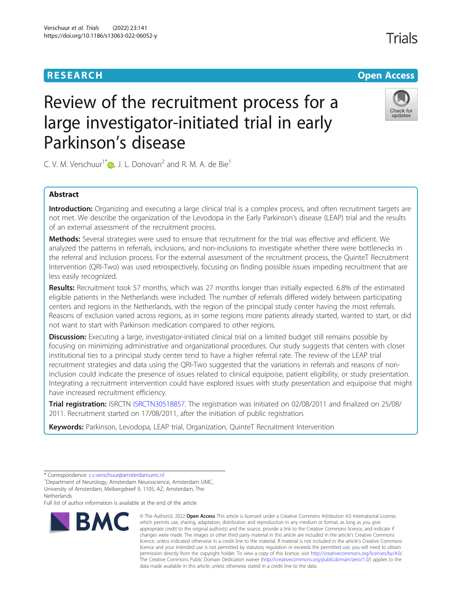# **RESEARCH CHE Open Access**

Check for updates

# Review of the recruitment process for a large investigator-initiated trial in early Parkinson's disease

C. V. M. Verschuur<sup>1[\\*](http://orcid.org/0000-0002-7234-6567)</sup> $\bullet$ , J. L. Donovan<sup>2</sup> and R. M. A. de Bie<sup>1</sup>

# Abstract

Introduction: Organizing and executing a large clinical trial is a complex process, and often recruitment targets are not met. We describe the organization of the Levodopa in the Early Parkinson's disease (LEAP) trial and the results of an external assessment of the recruitment process.

Methods: Several strategies were used to ensure that recruitment for the trial was effective and efficient. We analyzed the patterns in referrals, inclusions, and non-inclusions to investigate whether there were bottlenecks in the referral and inclusion process. For the external assessment of the recruitment process, the QuinteT Recruitment Intervention (QRI-Two) was used retrospectively, focusing on finding possible issues impeding recruitment that are less easily recognized.

Results: Recruitment took 57 months, which was 27 months longer than initially expected. 6.8% of the estimated eligible patients in the Netherlands were included. The number of referrals differed widely between participating centers and regions in the Netherlands, with the region of the principal study center having the most referrals. Reasons of exclusion varied across regions, as in some regions more patients already started, wanted to start, or did not want to start with Parkinson medication compared to other regions.

Discussion: Executing a large, investigator-initiated clinical trial on a limited budget still remains possible by focusing on minimizing administrative and organizational procedures. Our study suggests that centers with closer institutional ties to a principal study center tend to have a higher referral rate. The review of the LEAP trial recruitment strategies and data using the QRI-Two suggested that the variations in referrals and reasons of noninclusion could indicate the presence of issues related to clinical equipoise, patient eligibility, or study presentation. Integrating a recruitment intervention could have explored issues with study presentation and equipoise that might have increased recruitment efficiency.

Trial registration: ISRCTN [ISRCTN30518857](https://www.isrctn.com/ISRCTN30518857). The registration was initiated on 02/08/2011 and finalized on 25/08/ 2011. Recruitment started on 17/08/2011, after the initiation of public registration.

Keywords: Parkinson, Levodopa, LEAP trial, Organization, QuinteT Recruitment Intervention

Full list of author information is available at the end of the article



<sup>©</sup> The Author(s), 2022 **Open Access** This article is licensed under a Creative Commons Attribution 4.0 International License, which permits use, sharing, adaptation, distribution and reproduction in any medium or format, as long as you give appropriate credit to the original author(s) and the source, provide a link to the Creative Commons licence, and indicate if changes were made. The images or other third party material in this article are included in the article's Creative Commons licence, unless indicated otherwise in a credit line to the material. If material is not included in the article's Creative Commons licence and your intended use is not permitted by statutory regulation or exceeds the permitted use, you will need to obtain permission directly from the copyright holder. To view a copy of this licence, visit [http://creativecommons.org/licenses/by/4.0/.](http://creativecommons.org/licenses/by/4.0/) The Creative Commons Public Domain Dedication waiver [\(http://creativecommons.org/publicdomain/zero/1.0/](http://creativecommons.org/publicdomain/zero/1.0/)) applies to the data made available in this article, unless otherwise stated in a credit line to the data.

<sup>\*</sup> Correspondence: [c.v.verschuur@amsterdamumc.nl](mailto:c.v.verschuur@amsterdamumc.nl) <sup>1</sup>

<sup>&</sup>lt;sup>1</sup>Department of Neurology, Amsterdam Neuroscience, Amsterdam UMC, University of Amsterdam, Meibergdreef 9, 1105, AZ, Amsterdam, The **Netherlands**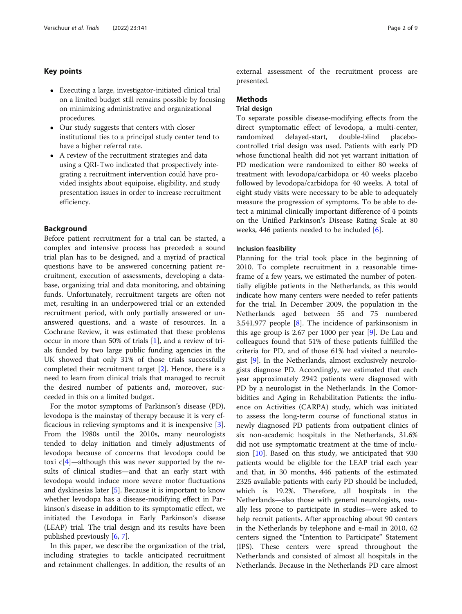# Key points

- Executing a large, investigator-initiated clinical trial on a limited budget still remains possible by focusing on minimizing administrative and organizational procedures.
- Our study suggests that centers with closer institutional ties to a principal study center tend to have a higher referral rate.
- A review of the recruitment strategies and data using a QRI-Two indicated that prospectively integrating a recruitment intervention could have provided insights about equipoise, eligibility, and study presentation issues in order to increase recruitment efficiency.

# **Background**

Before patient recruitment for a trial can be started, a complex and intensive process has preceded: a sound trial plan has to be designed, and a myriad of practical questions have to be answered concerning patient recruitment, execution of assessments, developing a database, organizing trial and data monitoring, and obtaining funds. Unfortunately, recruitment targets are often not met, resulting in an underpowered trial or an extended recruitment period, with only partially answered or unanswered questions, and a waste of resources. In a Cochrane Review, it was estimated that these problems occur in more than 50% of trials [[1\]](#page-8-0), and a review of trials funded by two large public funding agencies in the UK showed that only 31% of those trials successfully completed their recruitment target [[2\]](#page-8-0). Hence, there is a need to learn from clinical trials that managed to recruit the desired number of patients and, moreover, succeeded in this on a limited budget.

For the motor symptoms of Parkinson's disease (PD), levodopa is the mainstay of therapy because it is very efficacious in relieving symptoms and it is inexpensive [\[3](#page-8-0)]. From the 1980s until the 2010s, many neurologists tended to delay initiation and timely adjustments of levodopa because of concerns that levodopa could be toxi  $c[4]$  $c[4]$ —although this was never supported by the results of clinical studies—and that an early start with levodopa would induce more severe motor fluctuations and dyskinesias later [[5\]](#page-8-0). Because it is important to know whether levodopa has a disease-modifying effect in Parkinson's disease in addition to its symptomatic effect, we initiated the Levodopa in Early Parkinson's disease (LEAP) trial. The trial design and its results have been published previously [[6,](#page-8-0) [7\]](#page-8-0).

In this paper, we describe the organization of the trial, including strategies to tackle anticipated recruitment and retainment challenges. In addition, the results of an external assessment of the recruitment process are presented.

## Methods

# Trial design

To separate possible disease-modifying effects from the direct symptomatic effect of levodopa, a multi-center, randomized delayed-start, double-blind placebocontrolled trial design was used. Patients with early PD whose functional health did not yet warrant initiation of PD medication were randomized to either 80 weeks of treatment with levodopa/carbidopa or 40 weeks placebo followed by levodopa/carbidopa for 40 weeks. A total of eight study visits were necessary to be able to adequately measure the progression of symptoms. To be able to detect a minimal clinically important difference of 4 points on the Unified Parkinson's Disease Rating Scale at 80 weeks, 446 patients needed to be included [[6\]](#page-8-0).

#### Inclusion feasibility

Planning for the trial took place in the beginning of 2010. To complete recruitment in a reasonable timeframe of a few years, we estimated the number of potentially eligible patients in the Netherlands, as this would indicate how many centers were needed to refer patients for the trial. In December 2009, the population in the Netherlands aged between 55 and 75 numbered 3,541,977 people [[8\]](#page-8-0). The incidence of parkinsonism in this age group is 2.67 per 1000 per year [[9](#page-8-0)]. De Lau and colleagues found that 51% of these patients fulfilled the criteria for PD, and of those 61% had visited a neurologist [[9\]](#page-8-0). In the Netherlands, almost exclusively neurologists diagnose PD. Accordingly, we estimated that each year approximately 2942 patients were diagnosed with PD by a neurologist in the Netherlands. In the Comorbidities and Aging in Rehabilitation Patients: the influence on Activities (CARPA) study, which was initiated to assess the long-term course of functional status in newly diagnosed PD patients from outpatient clinics of six non-academic hospitals in the Netherlands, 31.6% did not use symptomatic treatment at the time of inclusion  $[10]$ . Based on this study, we anticipated that 930 patients would be eligible for the LEAP trial each year and that, in 30 months, 446 patients of the estimated 2325 available patients with early PD should be included, which is 19.2%. Therefore, all hospitals in the Netherlands—also those with general neurologists, usually less prone to participate in studies—were asked to help recruit patients. After approaching about 90 centers in the Netherlands by telephone and e-mail in 2010, 62 centers signed the "Intention to Participate" Statement (IPS). These centers were spread throughout the Netherlands and consisted of almost all hospitals in the Netherlands. Because in the Netherlands PD care almost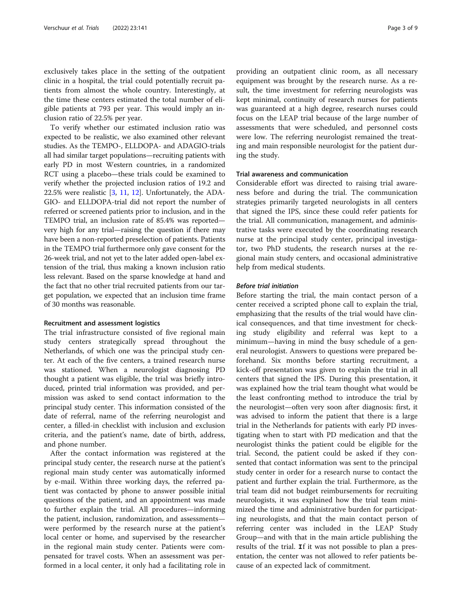exclusively takes place in the setting of the outpatient clinic in a hospital, the trial could potentially recruit patients from almost the whole country. Interestingly, at the time these centers estimated the total number of eligible patients at 793 per year. This would imply an inclusion ratio of 22.5% per year.

To verify whether our estimated inclusion ratio was expected to be realistic, we also examined other relevant studies. As the TEMPO-, ELLDOPA- and ADAGIO-trials all had similar target populations—recruiting patients with early PD in most Western countries, in a randomized RCT using a placebo—these trials could be examined to verify whether the projected inclusion ratios of 19.2 and 22.5% were realistic [[3,](#page-8-0) [11](#page-8-0), [12](#page-8-0)]. Unfortunately, the ADA-GIO- and ELLDOPA-trial did not report the number of referred or screened patients prior to inclusion, and in the TEMPO trial, an inclusion rate of 85.4% was reported very high for any trial—raising the question if there may have been a non-reported preselection of patients. Patients in the TEMPO trial furthermore only gave consent for the 26-week trial, and not yet to the later added open-label extension of the trial, thus making a known inclusion ratio less relevant. Based on the sparse knowledge at hand and the fact that no other trial recruited patients from our target population, we expected that an inclusion time frame of 30 months was reasonable.

#### Recruitment and assessment logistics

The trial infrastructure consisted of five regional main study centers strategically spread throughout the Netherlands, of which one was the principal study center. At each of the five centers, a trained research nurse was stationed. When a neurologist diagnosing PD thought a patient was eligible, the trial was briefly introduced, printed trial information was provided, and permission was asked to send contact information to the principal study center. This information consisted of the date of referral, name of the referring neurologist and center, a filled-in checklist with inclusion and exclusion criteria, and the patient's name, date of birth, address, and phone number.

After the contact information was registered at the principal study center, the research nurse at the patient's regional main study center was automatically informed by e-mail. Within three working days, the referred patient was contacted by phone to answer possible initial questions of the patient, and an appointment was made to further explain the trial. All procedures—informing the patient, inclusion, randomization, and assessments were performed by the research nurse at the patient's local center or home, and supervised by the researcher in the regional main study center. Patients were compensated for travel costs. When an assessment was performed in a local center, it only had a facilitating role in

providing an outpatient clinic room, as all necessary equipment was brought by the research nurse. As a result, the time investment for referring neurologists was kept minimal, continuity of research nurses for patients was guaranteed at a high degree, research nurses could focus on the LEAP trial because of the large number of assessments that were scheduled, and personnel costs were low. The referring neurologist remained the treating and main responsible neurologist for the patient during the study.

# Trial awareness and communication

Considerable effort was directed to raising trial awareness before and during the trial. The communication strategies primarily targeted neurologists in all centers that signed the IPS, since these could refer patients for the trial. All communication, management, and administrative tasks were executed by the coordinating research nurse at the principal study center, principal investigator, two PhD students, the research nurses at the regional main study centers, and occasional administrative help from medical students.

# **Before trial initiation**

Before starting the trial, the main contact person of a center received a scripted phone call to explain the trial, emphasizing that the results of the trial would have clinical consequences, and that time investment for checking study eligibility and referral was kept to a minimum—having in mind the busy schedule of a general neurologist. Answers to questions were prepared beforehand. Six months before starting recruitment, a kick-off presentation was given to explain the trial in all centers that signed the IPS. During this presentation, it was explained how the trial team thought what would be the least confronting method to introduce the trial by the neurologist—often very soon after diagnosis: first, it was advised to inform the patient that there is a large trial in the Netherlands for patients with early PD investigating when to start with PD medication and that the neurologist thinks the patient could be eligible for the trial. Second, the patient could be asked if they consented that contact information was sent to the principal study center in order for a research nurse to contact the patient and further explain the trial. Furthermore, as the trial team did not budget reimbursements for recruiting neurologists, it was explained how the trial team minimized the time and administrative burden for participating neurologists, and that the main contact person of referring center was included in the LEAP Study Group—and with that in the main article publishing the results of the trial. If it was not possible to plan a presentation, the center was not allowed to refer patients because of an expected lack of commitment.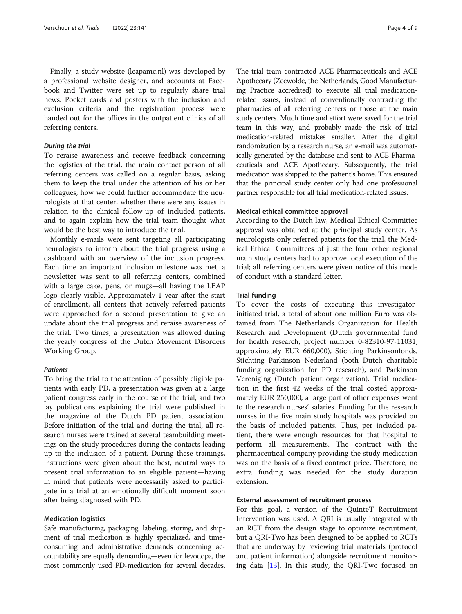Finally, a study website (leapamc.nl) was developed by a professional website designer, and accounts at Facebook and Twitter were set up to regularly share trial news. Pocket cards and posters with the inclusion and exclusion criteria and the registration process were handed out for the offices in the outpatient clinics of all referring centers.

To reraise awareness and receive feedback concerning the logistics of the trial, the main contact person of all referring centers was called on a regular basis, asking them to keep the trial under the attention of his or her colleagues, how we could further accommodate the neurologists at that center, whether there were any issues in relation to the clinical follow-up of included patients, and to again explain how the trial team thought what would be the best way to introduce the trial.

Monthly e-mails were sent targeting all participating neurologists to inform about the trial progress using a dashboard with an overview of the inclusion progress. Each time an important inclusion milestone was met, a newsletter was sent to all referring centers, combined with a large cake, pens, or mugs—all having the LEAP logo clearly visible. Approximately 1 year after the start of enrollment, all centers that actively referred patients were approached for a second presentation to give an update about the trial progress and reraise awareness of the trial. Two times, a presentation was allowed during the yearly congress of the Dutch Movement Disorders Working Group.

#### **Patients**

To bring the trial to the attention of possibly eligible patients with early PD, a presentation was given at a large patient congress early in the course of the trial, and two lay publications explaining the trial were published in the magazine of the Dutch PD patient association. Before initiation of the trial and during the trial, all research nurses were trained at several teambuilding meetings on the study procedures during the contacts leading up to the inclusion of a patient. During these trainings, instructions were given about the best, neutral ways to present trial information to an eligible patient—having in mind that patients were necessarily asked to participate in a trial at an emotionally difficult moment soon after being diagnosed with PD.

#### Medication logistics

Safe manufacturing, packaging, labeling, storing, and shipment of trial medication is highly specialized, and timeconsuming and administrative demands concerning accountability are equally demanding—even for levodopa, the most commonly used PD-medication for several decades.

The trial team contracted ACE Pharmaceuticals and ACE Apothecary (Zeewolde, the Netherlands, Good Manufacturing Practice accredited) to execute all trial medicationrelated issues, instead of conventionally contracting the pharmacies of all referring centers or those at the main study centers. Much time and effort were saved for the trial team in this way, and probably made the risk of trial medication-related mistakes smaller. After the digital randomization by a research nurse, an e-mail was automatically generated by the database and sent to ACE Pharmaceuticals and ACE Apothecary. Subsequently, the trial medication was shipped to the patient's home. This ensured that the principal study center only had one professional partner responsible for all trial medication-related issues.

#### Medical ethical committee approval

According to the Dutch law, Medical Ethical Committee approval was obtained at the principal study center. As neurologists only referred patients for the trial, the Medical Ethical Committees of just the four other regional main study centers had to approve local execution of the trial; all referring centers were given notice of this mode of conduct with a standard letter.

## Trial funding

To cover the costs of executing this investigatorinitiated trial, a total of about one million Euro was obtained from The Netherlands Organization for Health Research and Development (Dutch governmental fund for health research, project number 0-82310-97-11031, approximately EUR 660,000), Stichting Parkinsonfonds, Stichting Parkinson Nederland (both Dutch charitable funding organization for PD research), and Parkinson Vereniging (Dutch patient organization). Trial medication in the first 42 weeks of the trial costed approximately EUR 250,000; a large part of other expenses went to the research nurses' salaries. Funding for the research nurses in the five main study hospitals was provided on the basis of included patients. Thus, per included patient, there were enough resources for that hospital to perform all measurements. The contract with the pharmaceutical company providing the study medication was on the basis of a fixed contract price. Therefore, no extra funding was needed for the study duration extension.

# External assessment of recruitment process

For this goal, a version of the QuinteT Recruitment Intervention was used. A QRI is usually integrated with an RCT from the design stage to optimize recruitment, but a QRI-Two has been designed to be applied to RCTs that are underway by reviewing trial materials (protocol and patient information) alongside recruitment monitoring data [[13](#page-8-0)]. In this study, the QRI-Two focused on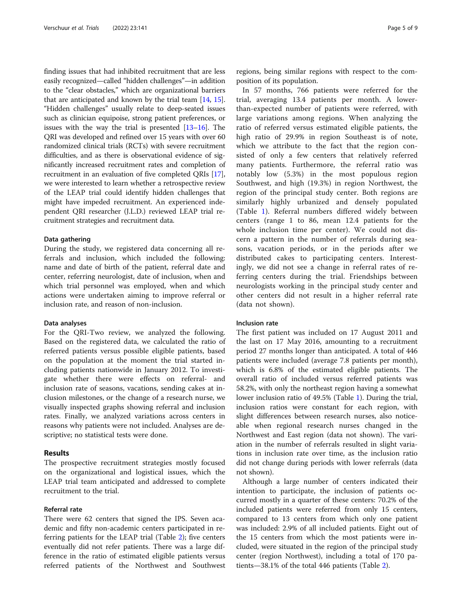finding issues that had inhibited recruitment that are less easily recognized—called "hidden challenges"—in addition to the "clear obstacles," which are organizational barriers that are anticipated and known by the trial team [[14](#page-8-0), [15](#page-8-0)]. "Hidden challenges" usually relate to deep-seated issues such as clinician equipoise, strong patient preferences, or issues with the way the trial is presented [[13](#page-8-0)–[16\]](#page-8-0). The QRI was developed and refined over 15 years with over 60 randomized clinical trials (RCTs) with severe recruitment difficulties, and as there is observational evidence of significantly increased recruitment rates and completion of recruitment in an evaluation of five completed QRIs [[17](#page-8-0)], we were interested to learn whether a retrospective review of the LEAP trial could identify hidden challenges that might have impeded recruitment. An experienced independent QRI researcher (J.L.D.) reviewed LEAP trial recruitment strategies and recruitment data.

## Data gathering

During the study, we registered data concerning all referrals and inclusion, which included the following: name and date of birth of the patient, referral date and center, referring neurologist, date of inclusion, when and which trial personnel was employed, when and which actions were undertaken aiming to improve referral or inclusion rate, and reason of non-inclusion.

## Data analyses

For the QRI-Two review, we analyzed the following. Based on the registered data, we calculated the ratio of referred patients versus possible eligible patients, based on the population at the moment the trial started including patients nationwide in January 2012. To investigate whether there were effects on referral- and inclusion rate of seasons, vacations, sending cakes at inclusion milestones, or the change of a research nurse, we visually inspected graphs showing referral and inclusion rates. Finally, we analyzed variations across centers in reasons why patients were not included. Analyses are descriptive; no statistical tests were done.

#### Results

The prospective recruitment strategies mostly focused on the organizational and logistical issues, which the LEAP trial team anticipated and addressed to complete recruitment to the trial.

# Referral rate

There were 62 centers that signed the IPS. Seven academic and fifty non-academic centers participated in referring patients for the LEAP trial (Table [2\)](#page-5-0); five centers eventually did not refer patients. There was a large difference in the ratio of estimated eligible patients versus referred patients of the Northwest and Southwest regions, being similar regions with respect to the composition of its population.

In 57 months, 766 patients were referred for the trial, averaging 13.4 patients per month. A lowerthan-expected number of patients were referred, with large variations among regions. When analyzing the ratio of referred versus estimated eligible patients, the high ratio of 29.9% in region Southeast is of note, which we attribute to the fact that the region consisted of only a few centers that relatively referred many patients. Furthermore, the referral ratio was notably low (5.3%) in the most populous region Southwest, and high (19.3%) in region Northwest, the region of the principal study center. Both regions are similarly highly urbanized and densely populated (Table [1](#page-5-0)). Referral numbers differed widely between centers (range 1 to 86, mean 12.4 patients for the whole inclusion time per center). We could not discern a pattern in the number of referrals during seasons, vacation periods, or in the periods after we distributed cakes to participating centers. Interestingly, we did not see a change in referral rates of referring centers during the trial. Friendships between neurologists working in the principal study center and other centers did not result in a higher referral rate (data not shown).

# Inclusion rate

The first patient was included on 17 August 2011 and the last on 17 May 2016, amounting to a recruitment period 27 months longer than anticipated. A total of 446 patients were included (average 7.8 patients per month), which is 6.8% of the estimated eligible patients. The overall ratio of included versus referred patients was 58.2%, with only the northeast region having a somewhat lower inclusion ratio of 49.5% (Table [1](#page-5-0)). During the trial, inclusion ratios were constant for each region, with slight differences between research nurses, also noticeable when regional research nurses changed in the Northwest and East region (data not shown). The variation in the number of referrals resulted in slight variations in inclusion rate over time, as the inclusion ratio did not change during periods with lower referrals (data not shown).

Although a large number of centers indicated their intention to participate, the inclusion of patients occurred mostly in a quarter of these centers: 70.2% of the included patients were referred from only 15 centers, compared to 13 centers from which only one patient was included: 2.9% of all included patients. Eight out of the 15 centers from which the most patients were included, were situated in the region of the principal study center (region Northwest), including a total of 170 patients—38.1% of the total 446 patients (Table [2\)](#page-5-0).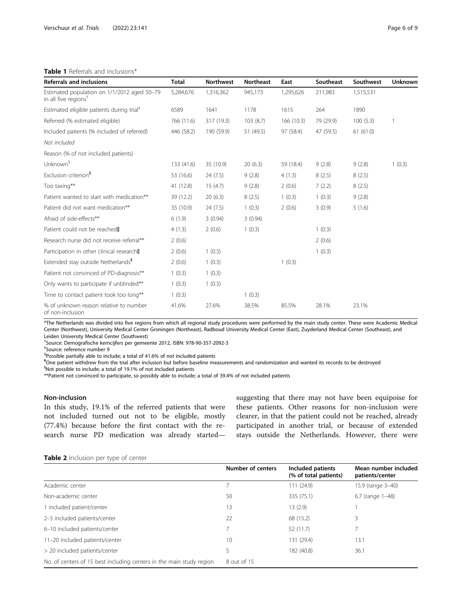# <span id="page-5-0"></span>Table 1 Referrals and inclusions\*

| <b>Referrals and inclusions</b>                                                 | Total      | <b>Northwest</b> | <b>Northeast</b> | East      | Southeast | Southwest | <b>Unknown</b> |
|---------------------------------------------------------------------------------|------------|------------------|------------------|-----------|-----------|-----------|----------------|
| Estimated population on 1/1/2012 aged 50-79<br>in all five regions <sup>†</sup> | 5,284,676  | 1,316,362        | 945,173          | 1,295,626 | 211,983   | 1,515,531 |                |
| Estimated eligible patients during trial <sup>#</sup>                           | 6589       | 1641             | 1178             | 1615      | 264       | 1890      |                |
| Referred (% estimated eligible)                                                 | 766 (11.6) | 317 (19.3)       | 103(8.7)         | 166(10.3) | 79 (29.9) | 100(5.3)  |                |
| Included patients (% included of referred)                                      | 446 (58.2) | 190 (59.9)       | 51 (49.5)        | 97 (58.4) | 47 (59.5) | 61(61.0)  |                |
| Not included                                                                    |            |                  |                  |           |           |           |                |
| Reason (% of not included patients)                                             |            |                  |                  |           |           |           |                |
| Unknown <sup>§</sup>                                                            | 133 (41.6) | 35 (10.9)        | 20(6.3)          | 59 (18.4) | 9(2.8)    | 9(2.8)    | 1(0.3)         |
| Exclusion criterion <sup>"</sup>                                                | 53 (16.6)  | 24(7.5)          | 9(2.8)           | 4(1.3)    | 8(2.5)    | 8(2.5)    |                |
| Too taxing**                                                                    | 41 (12.8)  | 15(4.7)          | 9(2.8)           | 2(0.6)    | 7(2.2)    | 8(2.5)    |                |
| Patient wanted to start with medication**                                       | 39 (12.2)  | 20(6.3)          | 8(2.5)           | 1(0.3)    | 1(0.3)    | 9(2.8)    |                |
| Patient did not want medication**                                               | 35 (10.9)  | 24(7.5)          | 1(0.3)           | 2(0.6)    | 3(0.9)    | 5(1.6)    |                |
| Afraid of side-effects**                                                        | 6(1.9)     | 3(0.94)          | 3(0.94)          |           |           |           |                |
| Patient could not be reached                                                    | 4(1.3)     | 2(0.6)           | 1(0.3)           |           | 1(0.3)    |           |                |
| Research nurse did not receive referral**                                       | 2(0.6)     |                  |                  |           | 2(0.6)    |           |                |
| Participation in other clinical research                                        | 2(0.6)     | 1(0.3)           |                  |           | 1(0.3)    |           |                |
| Extended stay outside Netherlands"                                              | 2(0.6)     | 1(0.3)           |                  | 1(0.3)    |           |           |                |
| Patient not convinced of PD-diagnosis**                                         | 1(0.3)     | 1(0.3)           |                  |           |           |           |                |
| Only wants to participate if unblinded**                                        | 1(0.3)     | 1(0.3)           |                  |           |           |           |                |
| Time to contact patient took too long**                                         | 1(0.3)     |                  | 1(0.3)           |           |           |           |                |
| % of unknown reason relative to number<br>of non-inclusion                      | 41.6%      | 27.6%            | 38.5%            | 85.5%     | 28.1%     | 23.1%     |                |

\*The Netherlands was divided into five regions from which all regional study procedures were performed by the main study center. These were Academic Medical Center (Northwest), University Medical Center Groningen (Northeast), Radboud University Medical Center (East), Zuyderland Medical Center (Southeast), and Leiden University Medical Center (Southwest)

† Source: Demografische kerncijfers per gemeente 2012, ISBN: 978-90-357-2092-3

‡ Source: reference number 9

§ Possible partially able to include; a total of 41.6% of not included patients

¶ One patient withdrew from the trial after inclusion but before baseline measurements and randomization and wanted its records to be destroyed

‖ Not possible to include; a total of 19.1% of not included patients

\*\*Patient not convinced to participate, so possibly able to include; a total of 39.4% of not included patients

# Non-inclusion

In this study, 19.1% of the referred patients that were not included turned out not to be eligible, mostly (77.4%) because before the first contact with the research nurse PD medication was already startedsuggesting that there may not have been equipoise for these patients. Other reasons for non-inclusion were clearer, in that the patient could not be reached, already participated in another trial, or because of extended stays outside the Netherlands. However, there were

#### Table 2 Inclusion per type of center

|                                                                      | Number of centers | Included patients<br>(% of total patients) | Mean number included<br>patients/center |
|----------------------------------------------------------------------|-------------------|--------------------------------------------|-----------------------------------------|
| Academic center                                                      |                   | 111 (24.9)                                 | 15.9 (range 3-40)                       |
| Non-academic center                                                  | 50                | 335 (75.1)                                 | 6.7 (range 1-48)                        |
| 1 included patient/center                                            | 13                | 13(2.9)                                    |                                         |
| 2-5 included patients/center                                         | 22                | 68 (15.2)                                  | 3                                       |
| 6-10 included patients/center                                        |                   | 52 (11.7)                                  |                                         |
| 11-20 included patients/center                                       | 10                | 131 (29.4)                                 | 13.1                                    |
| > 20 included patients/center                                        | 5                 | 182 (40.8)                                 | 36.1                                    |
| No. of centers of 15 best including centers in the main study region | 8 out of 15       |                                            |                                         |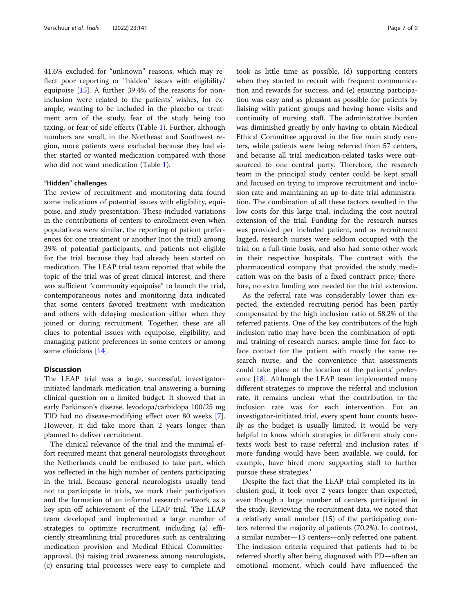41.6% excluded for "unknown" reasons, which may reflect poor reporting or "hidden" issues with eligibility/ equipoise [\[15](#page-8-0)]. A further 39.4% of the reasons for noninclusion were related to the patients' wishes, for example, wanting to be included in the placebo or treatment arm of the study, fear of the study being too taxing, or fear of side effects (Table [1](#page-5-0)). Further, although numbers are small, in the Northeast and Southwest region, more patients were excluded because they had either started or wanted medication compared with those who did not want medication (Table [1\)](#page-5-0).

#### "Hidden" challenges

The review of recruitment and monitoring data found some indications of potential issues with eligibility, equipoise, and study presentation. These included variations in the contributions of centers to enrollment even when populations were similar, the reporting of patient preferences for one treatment or another (not the trial) among 39% of potential participants, and patients not eligible for the trial because they had already been started on medication. The LEAP trial team reported that while the topic of the trial was of great clinical interest, and there was sufficient "community equipoise" to launch the trial, contemporaneous notes and monitoring data indicated that some centers favored treatment with medication and others with delaying medication either when they joined or during recruitment. Together, these are all clues to potential issues with equipoise, eligibility, and managing patient preferences in some centers or among some clinicians [\[14](#page-8-0)].

# **Discussion**

The LEAP trial was a large, successful, investigatorinitiated landmark medication trial answering a burning clinical question on a limited budget. It showed that in early Parkinson's disease, levodopa/carbidopa 100/25 mg TID had no disease-modifying effect over 80 weeks [\[7](#page-8-0)]. However, it did take more than 2 years longer than planned to deliver recruitment.

The clinical relevance of the trial and the minimal effort required meant that general neurologists throughout the Netherlands could be enthused to take part, which was reflected in the high number of centers participating in the trial. Because general neurologists usually tend not to participate in trials, we mark their participation and the formation of an informal research network as a key spin-off achievement of the LEAP trial. The LEAP team developed and implemented a large number of strategies to optimize recruitment, including (a) efficiently streamlining trial procedures such as centralizing medication provision and Medical Ethical Committeeapproval, (b) raising trial awareness among neurologists, (c) ensuring trial processes were easy to complete and took as little time as possible, (d) supporting centers when they started to recruit with frequent communication and rewards for success, and (e) ensuring participation was easy and as pleasant as possible for patients by liaising with patient groups and having home visits and continuity of nursing staff. The administrative burden was diminished greatly by only having to obtain Medical Ethical Committee approval in the five main study centers, while patients were being referred from 57 centers, and because all trial medication-related tasks were outsourced to one central party. Therefore, the research team in the principal study center could be kept small and focused on trying to improve recruitment and inclusion rate and maintaining an up-to-date trial administration. The combination of all these factors resulted in the low costs for this large trial, including the cost-neutral extension of the trial. Funding for the research nurses was provided per included patient, and as recruitment lagged, research nurses were seldom occupied with the trial on a full-time basis, and also had some other work in their respective hospitals. The contract with the pharmaceutical company that provided the study medication was on the basis of a fixed contract price; therefore, no extra funding was needed for the trial extension.

As the referral rate was considerably lower than expected, the extended recruiting period has been partly compensated by the high inclusion ratio of 58.2% of the referred patients. One of the key contributors of the high inclusion ratio may have been the combination of optimal training of research nurses, ample time for face-toface contact for the patient with mostly the same research nurse, and the convenience that assessments could take place at the location of the patients' preference  $[18]$  $[18]$ . Although the LEAP team implemented many different strategies to improve the referral and inclusion rate, it remains unclear what the contribution to the inclusion rate was for each intervention. For an investigator-initiated trial, every spent hour counts heavily as the budget is usually limited. It would be very helpful to know which strategies in different study contexts work best to raise referral and inclusion rates; if more funding would have been available, we could, for example, have hired more supporting staff to further pursue these strategies.'

Despite the fact that the LEAP trial completed its inclusion goal, it took over 2 years longer than expected, even though a large number of centers participated in the study. Reviewing the recruitment data, we noted that a relatively small number (15) of the participating centers referred the majority of patients (70.2%). In contrast, a similar number—13 centers—only referred one patient. The inclusion criteria required that patients had to be referred shortly after being diagnosed with PD—often an emotional moment, which could have influenced the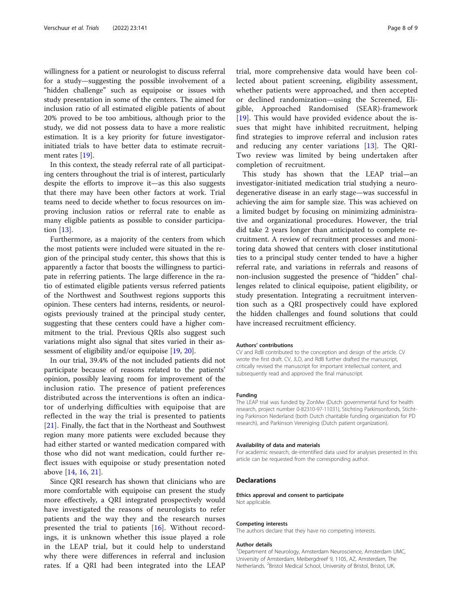willingness for a patient or neurologist to discuss referral for a study—suggesting the possible involvement of a "hidden challenge" such as equipoise or issues with study presentation in some of the centers. The aimed for inclusion ratio of all estimated eligible patients of about 20% proved to be too ambitious, although prior to the study, we did not possess data to have a more realistic estimation. It is a key priority for future investigatorinitiated trials to have better data to estimate recruitment rates [\[19](#page-8-0)].

In this context, the steady referral rate of all participating centers throughout the trial is of interest, particularly despite the efforts to improve it—as this also suggests that there may have been other factors at work. Trial teams need to decide whether to focus resources on improving inclusion ratios or referral rate to enable as many eligible patients as possible to consider participation [\[13\]](#page-8-0).

Furthermore, as a majority of the centers from which the most patients were included were situated in the region of the principal study center, this shows that this is apparently a factor that boosts the willingness to participate in referring patients. The large difference in the ratio of estimated eligible patients versus referred patients of the Northwest and Southwest regions supports this opinion. These centers had interns, residents, or neurologists previously trained at the principal study center, suggesting that these centers could have a higher commitment to the trial. Previous QRIs also suggest such variations might also signal that sites varied in their assessment of eligibility and/or equipoise [[19](#page-8-0), [20](#page-8-0)].

In our trial, 39.4% of the not included patients did not participate because of reasons related to the patients' opinion, possibly leaving room for improvement of the inclusion ratio. The presence of patient preferences distributed across the interventions is often an indicator of underlying difficulties with equipoise that are reflected in the way the trial is presented to patients [[21](#page-8-0)]. Finally, the fact that in the Northeast and Southwest region many more patients were excluded because they had either started or wanted medication compared with those who did not want medication, could further reflect issues with equipoise or study presentation noted above [[14,](#page-8-0) [16](#page-8-0), [21](#page-8-0)].

Since QRI research has shown that clinicians who are more comfortable with equipoise can present the study more effectively, a QRI integrated prospectively would have investigated the reasons of neurologists to refer patients and the way they and the research nurses presented the trial to patients [[16\]](#page-8-0). Without recordings, it is unknown whether this issue played a role in the LEAP trial, but it could help to understand why there were differences in referral and inclusion rates. If a QRI had been integrated into the LEAP

trial, more comprehensive data would have been collected about patient screening, eligibility assessment, whether patients were approached, and then accepted or declined randomization—using the Screened, Eligible, Approached Randomised (SEAR)-framework [[19\]](#page-8-0). This would have provided evidence about the issues that might have inhibited recruitment, helping find strategies to improve referral and inclusion rates and reducing any center variations [[13\]](#page-8-0). The QRI-Two review was limited by being undertaken after completion of recruitment.

This study has shown that the LEAP trial—an investigator-initiated medication trial studying a neurodegenerative disease in an early stage—was successful in achieving the aim for sample size. This was achieved on a limited budget by focusing on minimizing administrative and organizational procedures. However, the trial did take 2 years longer than anticipated to complete recruitment. A review of recruitment processes and monitoring data showed that centers with closer institutional ties to a principal study center tended to have a higher referral rate, and variations in referrals and reasons of non-inclusion suggested the presence of "hidden" challenges related to clinical equipoise, patient eligibility, or study presentation. Integrating a recruitment intervention such as a QRI prospectively could have explored the hidden challenges and found solutions that could have increased recruitment efficiency.

#### Authors' contributions

CV and RdB contributed to the conception and design of the article. CV wrote the first draft. CV, JLD, and RdB further drafted the manuscript, critically revised the manuscript for important intellectual content, and subsequently read and approved the final manuscript.

#### Funding

The LEAP trial was funded by ZonMw (Dutch governmental fund for health research, project number 0-82310-97-11031), Stichting Parkinsonfonds, Stichting Parkinson Nederland (both Dutch charitable funding organization for PD research), and Parkinson Vereniging (Dutch patient organization).

#### Availability of data and materials

For academic research, de-intentified data used for analyses presented in this article can be requested from the corresponding author.

#### Declarations

#### Ethics approval and consent to participate

Not applicable.

#### Competing interests

The authors declare that they have no competing interests.

#### Author details

<sup>1</sup>Department of Neurology, Amsterdam Neuroscience, Amsterdam UMC, University of Amsterdam, Meibergdreef 9, 1105, AZ, Amsterdam, The Netherlands. <sup>2</sup>Bristol Medical School, University of Bristol, Bristol, UK.